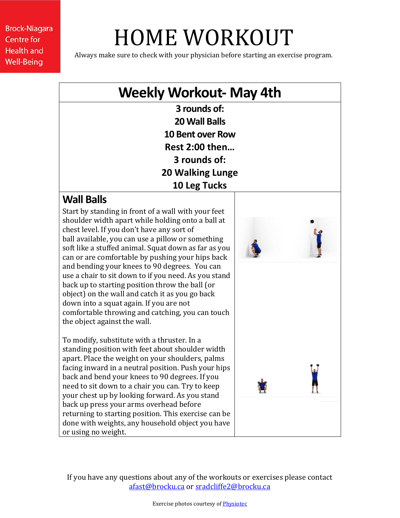# HOME WORKOUT

Always make sure to check with your physician before starting an exercise program.

### **Weekly Workout- May 4th**

**3 rounds of: 20 Wall Balls 10 Bent over Row Rest 2:00 then… 3 rounds of: 20 Walking Lunge 10 Leg Tucks**

### **Wall Balls**

Start by standing in front of a wall with your feet shoulder width apart while holding onto a ball at chest level. If you don't have any sort of ball available, you can use a pillow or something soft like a stuffed animal. Squat down as far as you can or are comfortable by pushing your hips back and bending your knees to 90 degrees. You can use a chair to sit down to if you need. As you stand back up to starting position throw the ball (or object) on the wall and catch it as you go back down into a squat again. If you are not comfortable throwing and catching, you can touch the object against the wall.

To modify, substitute with a thruster. In a standing position with feet about shoulder width apart. Place the weight on your shoulders, palms facing inward in a neutral position. Push your hips back and bend your knees to 90 degrees. If you need to sit down to a chair you can. Try to keep your chest up by looking forward. As you stand back up press your arms overhead before returning to starting position. This exercise can be done with weights, any household object you have or using no weight.

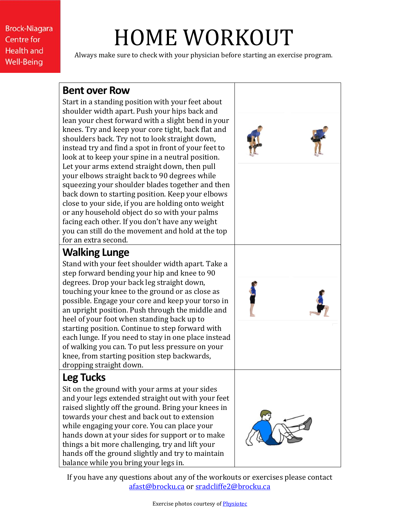# HOME WORKOUT

Always make sure to check with your physician before starting an exercise program.

#### **Bent over Row**

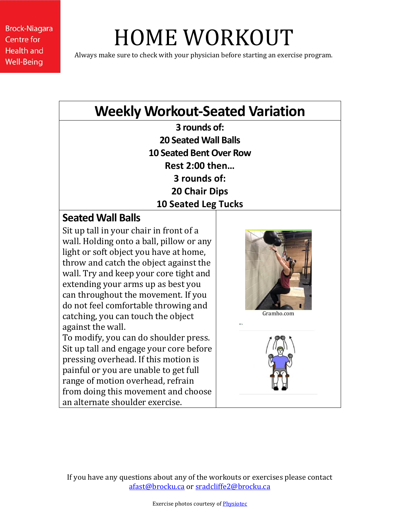## HOME WORKOUT

Always make sure to check with your physician before starting an exercise program.

### **Weekly Workout-Seated Variation**

**3 rounds of: 20 Seated Wall Balls 10 Seated Bent Over Row Rest 2:00 then… 3 rounds of: 20 Chair Dips 10 Seated Leg Tucks**

### **Seated Wall Balls**

Sit up tall in your chair in front of a wall. Holding onto a ball, pillow or any light or soft object you have at home, throw and catch the object against the wall. Try and keep your core tight and extending your arms up as best you can throughout the movement. If you do not feel comfortable throwing and catching, you can touch the object against the wall.

To modify, you can do shoulder press. Sit up tall and engage your core before pressing overhead. If this motion is painful or you are unable to get full range of motion overhead, refrain from doing this movement and choose an alternate shoulder exercise.



Gramho.com